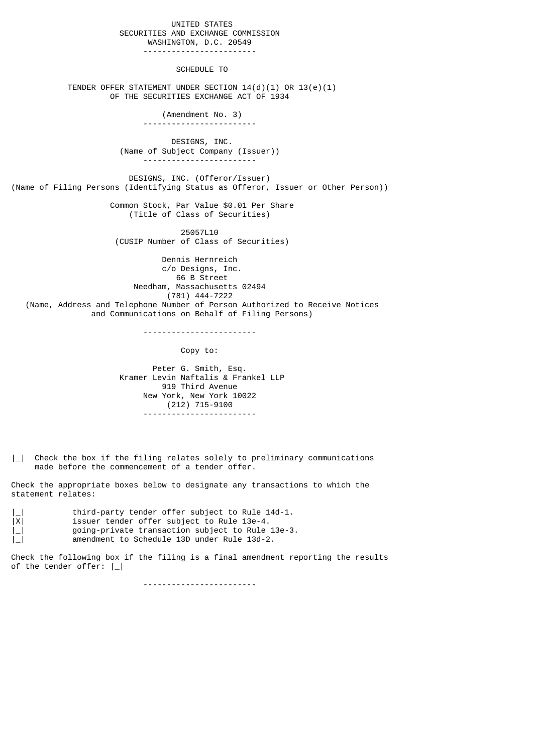## UNITED STATES SECURITIES AND EXCHANGE COMMISSION WASHINGTON, D.C. 20549

------------------------

## SCHEDULE TO

 TENDER OFFER STATEMENT UNDER SECTION 14(d)(1) OR 13(e)(1) OF THE SECURITIES EXCHANGE ACT OF 1934

> (Amendment No. 3) ------------------------

 DESIGNS, INC. (Name of Subject Company (Issuer)) ------------------------

 DESIGNS, INC. (Offeror/Issuer) (Name of Filing Persons (Identifying Status as Offeror, Issuer or Other Person))

> Common Stock, Par Value \$0.01 Per Share (Title of Class of Securities)

 25057L10 (CUSIP Number of Class of Securities)

 Dennis Hernreich c/o Designs, Inc. 66 B Street Needham, Massachusetts 02494 (781) 444-7222 (Name, Address and Telephone Number of Person Authorized to Receive Notices and Communications on Behalf of Filing Persons)

------------------------

Copy to:

 Peter G. Smith, Esq. Kramer Levin Naftalis & Frankel LLP 919 Third Avenue New York, New York 10022 (212) 715-9100 ------------------------

 $\vert \_ \vert$  Check the box if the filing relates solely to preliminary communications made before the commencement of a tender offer.

Check the appropriate boxes below to designate any transactions to which the statement relates:

|                     | third-party tender offer subject to Rule 14d-1.  |
|---------------------|--------------------------------------------------|
| X                   | issuer tender offer subject to Rule 13e-4.       |
| $\lfloor - \rfloor$ | going-private transaction subject to Rule 13e-3. |

| | | amendment to Schedule 13D under Rule 13d-2.

Check the following box if the filing is a final amendment reporting the results of the tender offer:  $|$  |

------------------------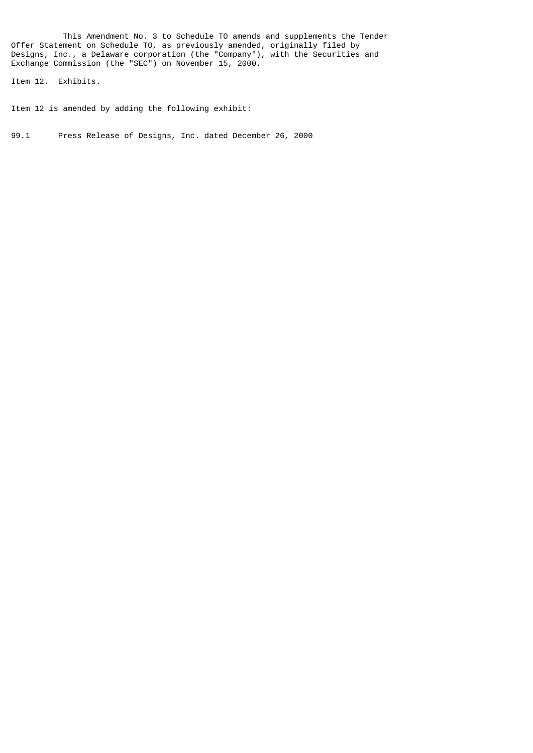This Amendment No. 3 to Schedule TO amends and supplements the Tender Offer Statement on Schedule TO, as previously amended, originally filed by Designs, Inc., a Delaware corporation (the "Company"), with the Securities and Exchange Commission (the "SEC") on November 15, 2000.

Item 12. Exhibits.

Item 12 is amended by adding the following exhibit:

99.1 Press Release of Designs, Inc. dated December 26, 2000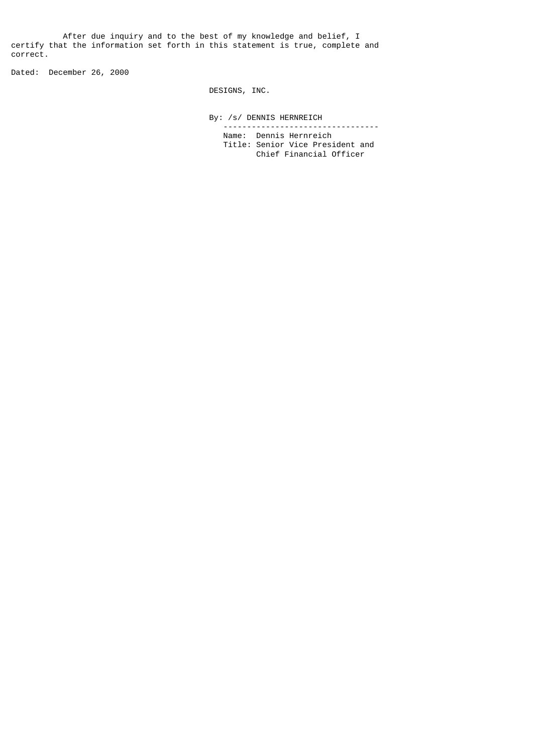After due inquiry and to the best of my knowledge and belief, I certify that the information set forth in this statement is true, complete and correct.

Dated: December 26, 2000

DESIGNS, INC.

 By: /s/ DENNIS HERNREICH --------------------------------- Name: Dennis Hernreich

 Title: Senior Vice President and Chief Financial Officer